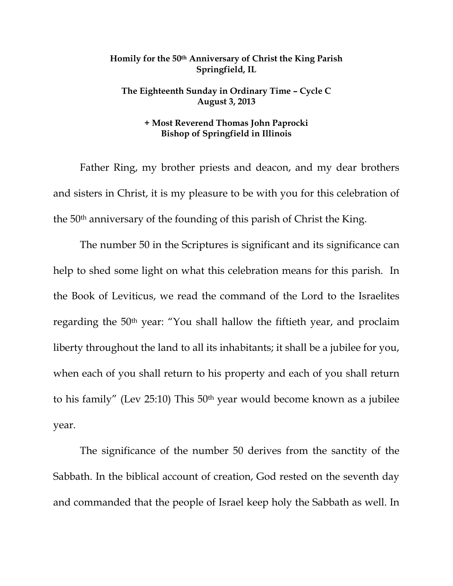## **Homily for the 50th Anniversary of Christ the King Parish Springfield, IL**

## **The Eighteenth Sunday in Ordinary Time – Cycle C August 3, 2013**

## **+ Most Reverend Thomas John Paprocki Bishop of Springfield in Illinois**

 Father Ring, my brother priests and deacon, and my dear brothers and sisters in Christ, it is my pleasure to be with you for this celebration of the 50th anniversary of the founding of this parish of Christ the King.

 The number 50 in the Scriptures is significant and its significance can help to shed some light on what this celebration means for this parish. In the Book of Leviticus, we read the command of the Lord to the Israelites regarding the 50th year: "You shall hallow the fiftieth year, and proclaim liberty throughout the land to all its inhabitants; it shall be a jubilee for you, when each of you shall return to his property and each of you shall return to his family" (Lev 25:10) This 50th year would become known as a jubilee year.

The significance of the number 50 derives from the sanctity of the Sabbath. In the biblical account of creation, God rested on the seventh day and commanded that the people of Israel keep holy the Sabbath as well. In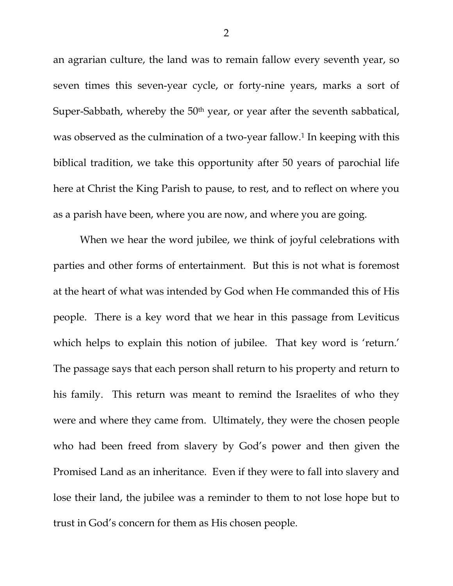an agrarian culture, the land was to remain fallow every seventh year, so seven times this seven-year cycle, or forty-nine years, marks a sort of Super-Sabbath, whereby the 50<sup>th</sup> year, or year after the seventh sabbatical, was observed as the culmination of a two-year fallow.<sup>1</sup> In keeping with this biblical tradition, we take this opportunity after 50 years of parochial life here at Christ the King Parish to pause, to rest, and to reflect on where you as a parish have been, where you are now, and where you are going.

When we hear the word jubilee, we think of joyful celebrations with parties and other forms of entertainment. But this is not what is foremost at the heart of what was intended by God when He commanded this of His people. There is a key word that we hear in this passage from Leviticus which helps to explain this notion of jubilee. That key word is 'return.' The passage says that each person shall return to his property and return to his family. This return was meant to remind the Israelites of who they were and where they came from. Ultimately, they were the chosen people who had been freed from slavery by God's power and then given the Promised Land as an inheritance. Even if they were to fall into slavery and lose their land, the jubilee was a reminder to them to not lose hope but to trust in God's concern for them as His chosen people.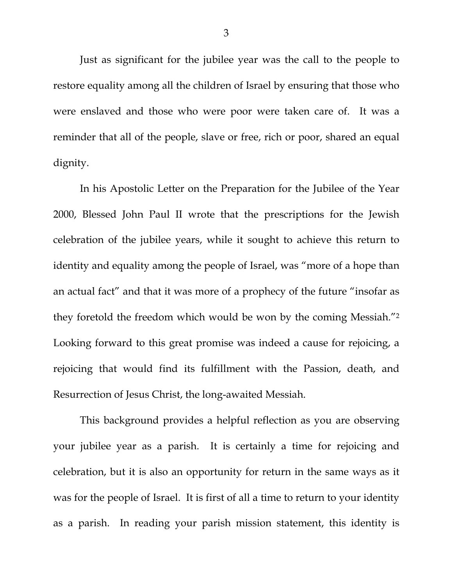Just as significant for the jubilee year was the call to the people to restore equality among all the children of Israel by ensuring that those who were enslaved and those who were poor were taken care of. It was a reminder that all of the people, slave or free, rich or poor, shared an equal dignity.

In his Apostolic Letter on the Preparation for the Jubilee of the Year 2000, Blessed John Paul II wrote that the prescriptions for the Jewish celebration of the jubilee years, while it sought to achieve this return to identity and equality among the people of Israel, was "more of a hope than an actual fact" and that it was more of a prophecy of the future "insofar as they foretold the freedom which would be won by the coming Messiah."2 Looking forward to this great promise was indeed a cause for rejoicing, a rejoicing that would find its fulfillment with the Passion, death, and Resurrection of Jesus Christ, the long-awaited Messiah.

This background provides a helpful reflection as you are observing your jubilee year as a parish. It is certainly a time for rejoicing and celebration, but it is also an opportunity for return in the same ways as it was for the people of Israel. It is first of all a time to return to your identity as a parish. In reading your parish mission statement, this identity is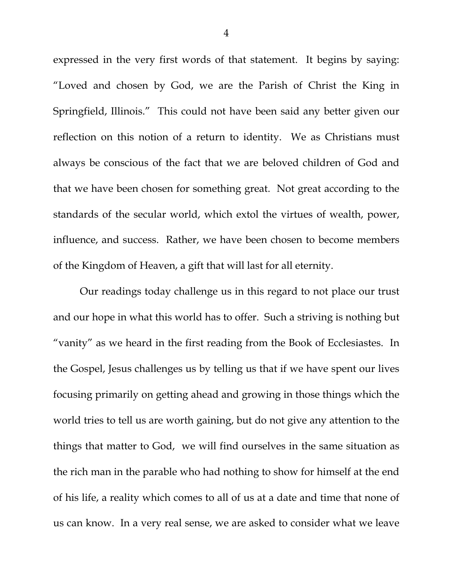expressed in the very first words of that statement. It begins by saying: "Loved and chosen by God, we are the Parish of Christ the King in Springfield, Illinois." This could not have been said any better given our reflection on this notion of a return to identity. We as Christians must always be conscious of the fact that we are beloved children of God and that we have been chosen for something great. Not great according to the standards of the secular world, which extol the virtues of wealth, power, influence, and success. Rather, we have been chosen to become members of the Kingdom of Heaven, a gift that will last for all eternity.

Our readings today challenge us in this regard to not place our trust and our hope in what this world has to offer. Such a striving is nothing but "vanity" as we heard in the first reading from the Book of Ecclesiastes. In the Gospel, Jesus challenges us by telling us that if we have spent our lives focusing primarily on getting ahead and growing in those things which the world tries to tell us are worth gaining, but do not give any attention to the things that matter to God, we will find ourselves in the same situation as the rich man in the parable who had nothing to show for himself at the end of his life, a reality which comes to all of us at a date and time that none of us can know. In a very real sense, we are asked to consider what we leave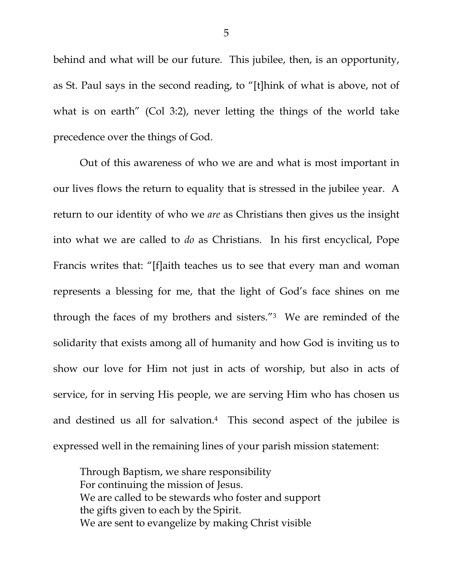behind and what will be our future. This jubilee, then, is an opportunity, as St. Paul says in the second reading, to "[t]hink of what is above, not of what is on earth" (Col 3:2), never letting the things of the world take precedence over the things of God.

Out of this awareness of who we are and what is most important in our lives flows the return to equality that is stressed in the jubilee year. A return to our identity of who we *are* as Christians then gives us the insight into what we are called to *do* as Christians. In his first encyclical, Pope Francis writes that: "[f]aith teaches us to see that every man and woman represents a blessing for me, that the light of God's face shines on me through the faces of my brothers and sisters."3 We are reminded of the solidarity that exists among all of humanity and how God is inviting us to show our love for Him not just in acts of worship, but also in acts of service, for in serving His people, we are serving Him who has chosen us and destined us all for salvation.<sup>4</sup> This second aspect of the jubilee is expressed well in the remaining lines of your parish mission statement:

Through Baptism, we share responsibility For continuing the mission of Jesus. We are called to be stewards who foster and support the gifts given to each by the Spirit. We are sent to evangelize by making Christ visible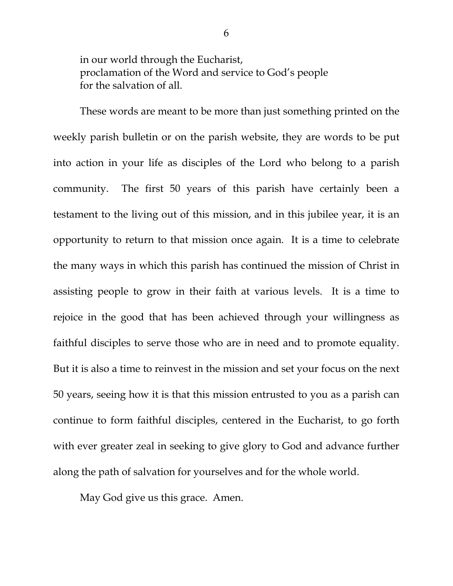in our world through the Eucharist, proclamation of the Word and service to God's people for the salvation of all.

These words are meant to be more than just something printed on the weekly parish bulletin or on the parish website, they are words to be put into action in your life as disciples of the Lord who belong to a parish community. The first 50 years of this parish have certainly been a testament to the living out of this mission, and in this jubilee year, it is an opportunity to return to that mission once again. It is a time to celebrate the many ways in which this parish has continued the mission of Christ in assisting people to grow in their faith at various levels. It is a time to rejoice in the good that has been achieved through your willingness as faithful disciples to serve those who are in need and to promote equality. But it is also a time to reinvest in the mission and set your focus on the next 50 years, seeing how it is that this mission entrusted to you as a parish can continue to form faithful disciples, centered in the Eucharist, to go forth with ever greater zeal in seeking to give glory to God and advance further along the path of salvation for yourselves and for the whole world.

May God give us this grace. Amen.